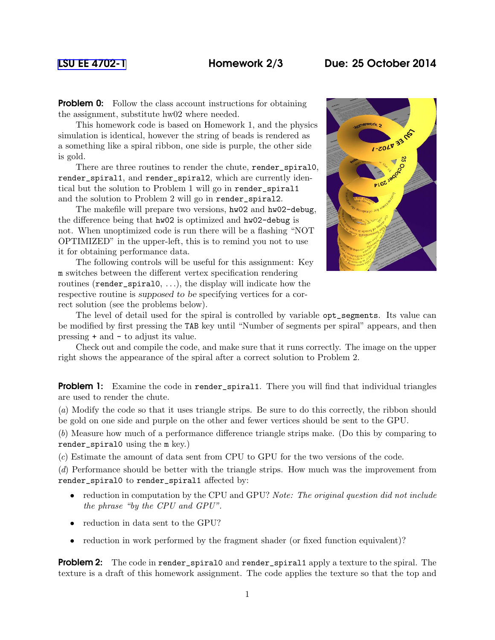## [LSU EE 4702-1](http://www.ece.lsu.edu/koppel/gpup/) Homework 2/3 Due: 25 October 2014

**Problem 0:** Follow the class account instructions for obtaining the assignment, substitute hw02 where needed.

This homework code is based on Homework 1, and the physics simulation is identical, however the string of beads is rendered as a something like a spiral ribbon, one side is purple, the other side is gold.

There are three routines to render the chute, render\_spiral0, render\_spiral1, and render\_spiral2, which are currently identical but the solution to Problem 1 will go in render\_spiral1 and the solution to Problem 2 will go in render\_spiral2.

The makefile will prepare two versions, hw02 and hw02-debug, the difference being that hw02 is optimized and hw02-debug is not. When unoptimized code is run there will be a flashing "NOT OPTIMIZED" in the upper-left, this is to remind you not to use it for obtaining performance data.

The following controls will be useful for this assignment: Key m switches between the different vertex specification rendering routines (render\_spiral0, . . .), the display will indicate how the respective routine is supposed to be specifying vertices for a correct solution (see the problems below).



The level of detail used for the spiral is controlled by variable opt\_segments. Its value can be modified by first pressing the TAB key until "Number of segments per spiral" appears, and then pressing + and - to adjust its value.

Check out and compile the code, and make sure that it runs correctly. The image on the upper right shows the appearance of the spiral after a correct solution to Problem 2.

**Problem 1:** Examine the code in render\_spiral1. There you will find that individual triangles are used to render the chute.

(*a*) Modify the code so that it uses triangle strips. Be sure to do this correctly, the ribbon should be gold on one side and purple on the other and fewer vertices should be sent to the GPU.

(*b*) Measure how much of a performance difference triangle strips make. (Do this by comparing to render\_spiral0 using the m key.)

(*c*) Estimate the amount of data sent from CPU to GPU for the two versions of the code.

(*d*) Performance should be better with the triangle strips. How much was the improvement from render\_spiral0 to render\_spiral1 affected by:

- reduction in computation by the CPU and GPU? *Note: The original question did not include the phrase "by the CPU and GPU".*
- reduction in data sent to the GPU?
- reduction in work performed by the fragment shader (or fixed function equivalent)?

**Problem 2:** The code in render\_spiral0 and render\_spiral1 apply a texture to the spiral. The texture is a draft of this homework assignment. The code applies the texture so that the top and